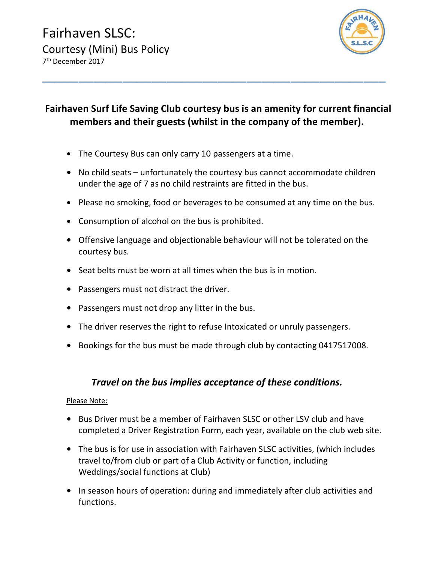

## Fairhaven Surf Life Saving Club courtesy bus is an amenity for current financial members and their guests (whilst in the company of the member).

\_\_\_\_\_\_\_\_\_\_\_\_\_\_\_\_\_\_\_\_\_\_\_\_\_\_\_\_\_\_\_\_\_\_\_\_\_\_\_\_\_\_\_\_\_\_\_

- The Courtesy Bus can only carry 10 passengers at a time.
- No child seats unfortunately the courtesy bus cannot accommodate children under the age of 7 as no child restraints are fitted in the bus.
- Please no smoking, food or beverages to be consumed at any time on the bus.
- Consumption of alcohol on the bus is prohibited.
- Offensive language and objectionable behaviour will not be tolerated on the courtesy bus.
- Seat belts must be worn at all times when the bus is in motion.
- Passengers must not distract the driver.
- Passengers must not drop any litter in the bus.
- The driver reserves the right to refuse Intoxicated or unruly passengers.
- Bookings for the bus must be made through club by contacting 0417517008.

## Travel on the bus implies acceptance of these conditions.

## Please Note:

- Bus Driver must be a member of Fairhaven SLSC or other LSV club and have completed a Driver Registration Form, each year, available on the club web site.
- The bus is for use in association with Fairhaven SLSC activities, (which includes travel to/from club or part of a Club Activity or function, including Weddings/social functions at Club)
- In season hours of operation: during and immediately after club activities and functions.